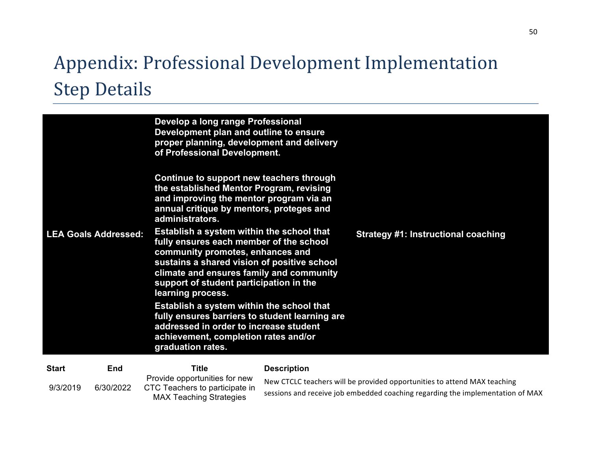## Appendix: Professional Development Implementation **Step Details**

|                             |     | Develop a long range Professional<br>Development plan and outline to ensure<br>proper planning, development and delivery<br>of Professional Development.                                                                                                                            |                    |                                            |
|-----------------------------|-----|-------------------------------------------------------------------------------------------------------------------------------------------------------------------------------------------------------------------------------------------------------------------------------------|--------------------|--------------------------------------------|
|                             |     | Continue to support new teachers through<br>the established Mentor Program, revising<br>and improving the mentor program via an<br>annual critique by mentors, proteges and<br>administrators.                                                                                      |                    |                                            |
| <b>LEA Goals Addressed:</b> |     | Establish a system within the school that<br>fully ensures each member of the school<br>community promotes, enhances and<br>sustains a shared vision of positive school<br>climate and ensures family and community<br>support of student participation in the<br>learning process. |                    | <b>Strategy #1: Instructional coaching</b> |
|                             |     | Establish a system within the school that<br>fully ensures barriers to student learning are<br>addressed in order to increase student<br>achievement, completion rates and/or<br>graduation rates.                                                                                  |                    |                                            |
| <b>Start</b>                | End | Title                                                                                                                                                                                                                                                                               | <b>Description</b> |                                            |

| <b>Start</b> | End       | Title                                                                                             | <b>Description</b>                                                                                                                                         |
|--------------|-----------|---------------------------------------------------------------------------------------------------|------------------------------------------------------------------------------------------------------------------------------------------------------------|
| 9/3/2019     | 6/30/2022 | Provide opportunities for new<br>CTC Teachers to participate in<br><b>MAX Teaching Strategies</b> | New CTCLC teachers will be provided opportunities to attend MAX teaching<br>sessions and receive job embedded coaching regarding the implementation of MAX |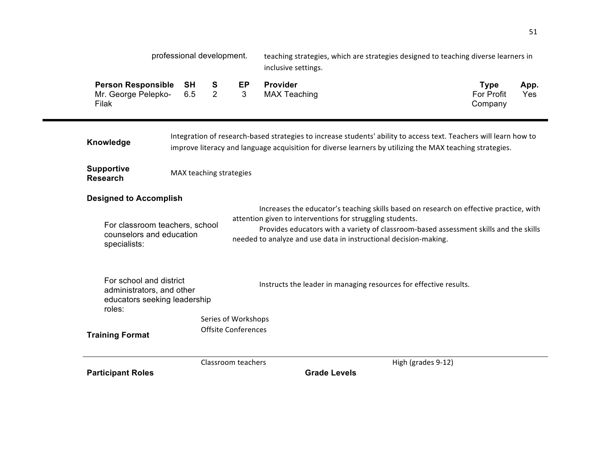|                                                                                                | professional development. |        |                            | teaching strategies, which are strategies designed to teaching diverse learners in<br>inclusive settings.                                                                                                                                                                                                        |                    |                                      |             |
|------------------------------------------------------------------------------------------------|---------------------------|--------|----------------------------|------------------------------------------------------------------------------------------------------------------------------------------------------------------------------------------------------------------------------------------------------------------------------------------------------------------|--------------------|--------------------------------------|-------------|
| <b>Person Responsible</b><br>Mr. George Pelepko-<br>Filak                                      | SH<br>6.5                 | S<br>2 | EP<br>3                    | Provider<br><b>MAX Teaching</b>                                                                                                                                                                                                                                                                                  |                    | <b>Type</b><br>For Profit<br>Company | App.<br>Yes |
| Knowledge                                                                                      |                           |        |                            | Integration of research-based strategies to increase students' ability to access text. Teachers will learn how to<br>improve literacy and language acquisition for diverse learners by utilizing the MAX teaching strategies.                                                                                    |                    |                                      |             |
| <b>Supportive</b><br><b>Research</b>                                                           | MAX teaching strategies   |        |                            |                                                                                                                                                                                                                                                                                                                  |                    |                                      |             |
| <b>Designed to Accomplish</b>                                                                  |                           |        |                            |                                                                                                                                                                                                                                                                                                                  |                    |                                      |             |
| For classroom teachers, school<br>counselors and education<br>specialists:                     |                           |        |                            | Increases the educator's teaching skills based on research on effective practice, with<br>attention given to interventions for struggling students.<br>Provides educators with a variety of classroom-based assessment skills and the skills<br>needed to analyze and use data in instructional decision-making. |                    |                                      |             |
| For school and district<br>administrators, and other<br>educators seeking leadership<br>roles: |                           |        |                            | Instructs the leader in managing resources for effective results.                                                                                                                                                                                                                                                |                    |                                      |             |
|                                                                                                |                           |        | Series of Workshops        |                                                                                                                                                                                                                                                                                                                  |                    |                                      |             |
| <b>Training Format</b>                                                                         |                           |        | <b>Offsite Conferences</b> |                                                                                                                                                                                                                                                                                                                  |                    |                                      |             |
|                                                                                                |                           |        | Classroom teachers         |                                                                                                                                                                                                                                                                                                                  | High (grades 9-12) |                                      |             |
| <b>Participant Roles</b>                                                                       |                           |        |                            | <b>Grade Levels</b>                                                                                                                                                                                                                                                                                              |                    |                                      |             |

51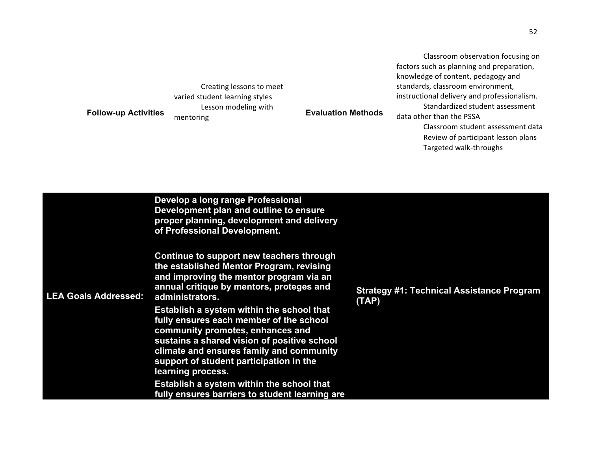**Follow-up Activities** Creating lessons to meet varied student learning styles Lesson modeling with **Evaluation Methods**<br>mentoring **Evaluation Methods** 

Classroom observation focusing on factors such as planning and preparation, knowledge of content, pedagogy and standards, classroom environment, instructional delivery and professionalism. Standardized student assessment data other than the PSSA Classroom student assessment data Review of participant lesson plans

• Targeted walk-throughs

| proper planning, development and delivery<br>of Professional Development.                                                                                                                                                                                                                                                                                                                                                                                                                                                                                                                                           |                                                           |
|---------------------------------------------------------------------------------------------------------------------------------------------------------------------------------------------------------------------------------------------------------------------------------------------------------------------------------------------------------------------------------------------------------------------------------------------------------------------------------------------------------------------------------------------------------------------------------------------------------------------|-----------------------------------------------------------|
| Continue to support new teachers through<br>the established Mentor Program, revising<br>and improving the mentor program via an<br>annual critique by mentors, proteges and<br><b>LEA Goals Addressed:</b><br>administrators.<br>Establish a system within the school that<br>fully ensures each member of the school<br>community promotes, enhances and<br>sustains a shared vision of positive school<br>climate and ensures family and community<br>support of student participation in the<br>learning process.<br>Establish a system within the school that<br>fully ensures barriers to student learning are | <b>Strategy #1: Technical Assistance Program</b><br>(TAP) |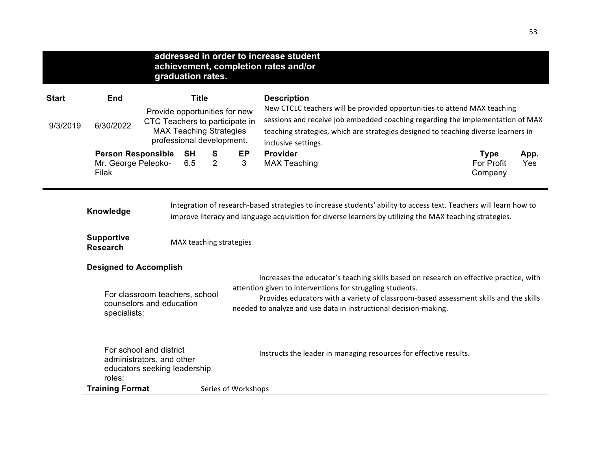|              | addressed in order to increase student                                                         |                                                                                                                                |                   |                                                                                                                                                                                                                                                                                                                  |                                                                                                                                                                                                                                                                         |                                                                                                                                                                                                                               |                                      |             |
|--------------|------------------------------------------------------------------------------------------------|--------------------------------------------------------------------------------------------------------------------------------|-------------------|------------------------------------------------------------------------------------------------------------------------------------------------------------------------------------------------------------------------------------------------------------------------------------------------------------------|-------------------------------------------------------------------------------------------------------------------------------------------------------------------------------------------------------------------------------------------------------------------------|-------------------------------------------------------------------------------------------------------------------------------------------------------------------------------------------------------------------------------|--------------------------------------|-------------|
|              |                                                                                                |                                                                                                                                | graduation rates. |                                                                                                                                                                                                                                                                                                                  |                                                                                                                                                                                                                                                                         | achievement, completion rates and/or                                                                                                                                                                                          |                                      |             |
| <b>Start</b> | End                                                                                            |                                                                                                                                | <b>Title</b>      |                                                                                                                                                                                                                                                                                                                  |                                                                                                                                                                                                                                                                         | <b>Description</b>                                                                                                                                                                                                            |                                      |             |
| 9/3/2019     | 6/30/2022                                                                                      | Provide opportunities for new<br>CTC Teachers to participate in<br><b>MAX Teaching Strategies</b><br>professional development. |                   |                                                                                                                                                                                                                                                                                                                  | New CTCLC teachers will be provided opportunities to attend MAX teaching<br>sessions and receive job embedded coaching regarding the implementation of MAX<br>teaching strategies, which are strategies designed to teaching diverse learners in<br>inclusive settings. |                                                                                                                                                                                                                               |                                      |             |
|              | <b>Person Responsible</b><br>Mr. George Pelepko-<br>Filak                                      |                                                                                                                                | <b>SH</b><br>6.5  | EP<br>Provider<br>S<br>$\overline{2}$<br>3<br><b>MAX Teaching</b>                                                                                                                                                                                                                                                |                                                                                                                                                                                                                                                                         |                                                                                                                                                                                                                               | <b>Type</b><br>For Profit<br>Company | App.<br>Yes |
|              | Knowledge                                                                                      |                                                                                                                                |                   |                                                                                                                                                                                                                                                                                                                  |                                                                                                                                                                                                                                                                         | Integration of research-based strategies to increase students' ability to access text. Teachers will learn how to<br>improve literacy and language acquisition for diverse learners by utilizing the MAX teaching strategies. |                                      |             |
|              | <b>Supportive</b><br><b>Research</b>                                                           | MAX teaching strategies                                                                                                        |                   |                                                                                                                                                                                                                                                                                                                  |                                                                                                                                                                                                                                                                         |                                                                                                                                                                                                                               |                                      |             |
|              | <b>Designed to Accomplish</b>                                                                  |                                                                                                                                |                   |                                                                                                                                                                                                                                                                                                                  |                                                                                                                                                                                                                                                                         |                                                                                                                                                                                                                               |                                      |             |
|              | For classroom teachers, school<br>counselors and education<br>specialists:                     |                                                                                                                                |                   | Increases the educator's teaching skills based on research on effective practice, with<br>attention given to interventions for struggling students.<br>Provides educators with a variety of classroom-based assessment skills and the skills<br>needed to analyze and use data in instructional decision-making. |                                                                                                                                                                                                                                                                         |                                                                                                                                                                                                                               |                                      |             |
|              | For school and district<br>administrators, and other<br>educators seeking leadership<br>roles: |                                                                                                                                |                   |                                                                                                                                                                                                                                                                                                                  |                                                                                                                                                                                                                                                                         | Instructs the leader in managing resources for effective results.                                                                                                                                                             |                                      |             |
|              | <b>Training Format</b><br>Series of Workshops                                                  |                                                                                                                                |                   |                                                                                                                                                                                                                                                                                                                  |                                                                                                                                                                                                                                                                         |                                                                                                                                                                                                                               |                                      |             |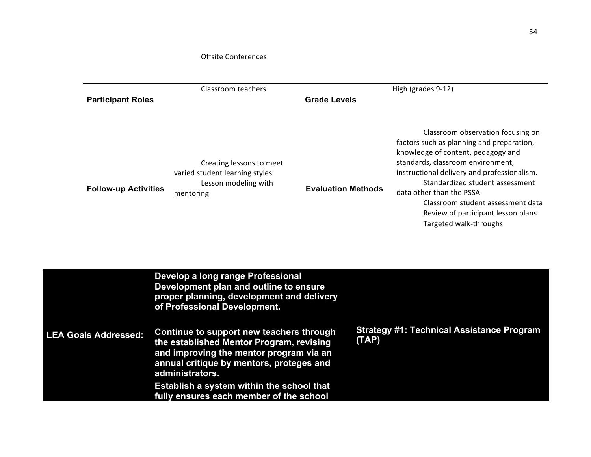## Offsite Conferences

|                             | Classroom teachers                                                                                                                                                                                                                                                                                                                                                                                      |                           | High (grades 9-12)                                                                                                                                                                                                                                                                                                                                                           |
|-----------------------------|---------------------------------------------------------------------------------------------------------------------------------------------------------------------------------------------------------------------------------------------------------------------------------------------------------------------------------------------------------------------------------------------------------|---------------------------|------------------------------------------------------------------------------------------------------------------------------------------------------------------------------------------------------------------------------------------------------------------------------------------------------------------------------------------------------------------------------|
| <b>Participant Roles</b>    |                                                                                                                                                                                                                                                                                                                                                                                                         | <b>Grade Levels</b>       |                                                                                                                                                                                                                                                                                                                                                                              |
| <b>Follow-up Activities</b> | Creating lessons to meet<br>varied student learning styles<br>Lesson modeling with<br>mentoring                                                                                                                                                                                                                                                                                                         | <b>Evaluation Methods</b> | Classroom observation focusing on<br>factors such as planning and preparation,<br>knowledge of content, pedagogy and<br>standards, classroom environment,<br>instructional delivery and professionalism.<br>Standardized student assessment<br>data other than the PSSA<br>Classroom student assessment data<br>Review of participant lesson plans<br>Targeted walk-throughs |
| <b>LEA Goals Addressed:</b> | Develop a long range Professional<br>Development plan and outline to ensure<br>proper planning, development and delivery<br>of Professional Development.<br>Continue to support new teachers through<br>the established Mentor Program, revising<br>and improving the mentor program via an<br>annual critique by mentors, proteges and<br>administrators.<br>Establish a system within the school that | (TAP)                     | <b>Strategy #1: Technical Assistance Program</b>                                                                                                                                                                                                                                                                                                                             |

54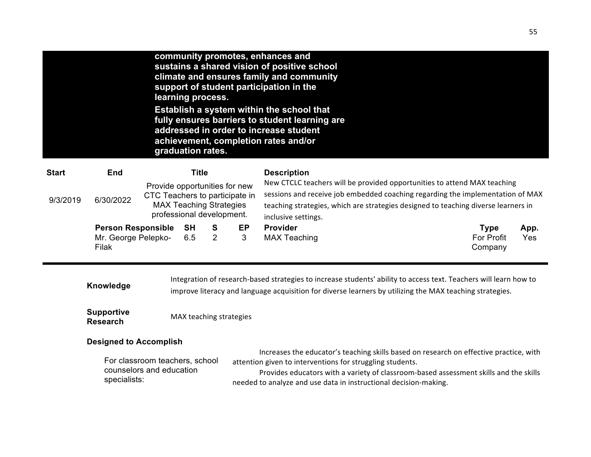|              |           | community promotes, enhances and<br>sustains a shared vision of positive school<br>climate and ensures family and community<br>support of student participation in the<br>learning process.<br>Establish a system within the school that<br>fully ensures barriers to student learning are<br>addressed in order to increase student<br>achievement, completion rates and/or<br>graduation rates. |                                                                                                                                                                                                                                                                         |
|--------------|-----------|---------------------------------------------------------------------------------------------------------------------------------------------------------------------------------------------------------------------------------------------------------------------------------------------------------------------------------------------------------------------------------------------------|-------------------------------------------------------------------------------------------------------------------------------------------------------------------------------------------------------------------------------------------------------------------------|
| <b>Start</b> | End       | Title                                                                                                                                                                                                                                                                                                                                                                                             | <b>Description</b>                                                                                                                                                                                                                                                      |
| 9/3/2019     | 6/30/2022 | Provide opportunities for new<br>CTC Teachers to participate in<br><b>MAX Teaching Strategies</b><br>professional development.                                                                                                                                                                                                                                                                    | New CTCLC teachers will be provided opportunities to attend MAX teaching<br>sessions and receive job embedded coaching regarding the implementation of MAX<br>teaching strategies, which are strategies designed to teaching diverse learners in<br>inclusive settings. |

**Person Responsible SH S EP Provider Type App.**<br>
Mr. George Pelepko- 6.5 2 3 MAX Teaching **Type App.**<br>
The For Profit Yes Mr. George Pelepko-Filak

MAX Teaching

Company Yes

**Knowledge** Integration of research-based strategies to increase students' ability to access text. Teachers will learn how to **Knowledge** improve literacy and language acquisition for diverse learners by utilizing the MAX teaching strategies.

**Supportive MAX** teaching strategies

## **Designed to Accomplish**

|                                | Increases the educator's teaching skills based on research on effective practice, with |
|--------------------------------|----------------------------------------------------------------------------------------|
| For classroom teachers, school | attention given to interventions for struggling students.                              |
| counselors and education       | Provides educators with a variety of classroom-based assessment skills and the skills  |
| specialists:                   | needed to analyze and use data in instructional decision-making.                       |